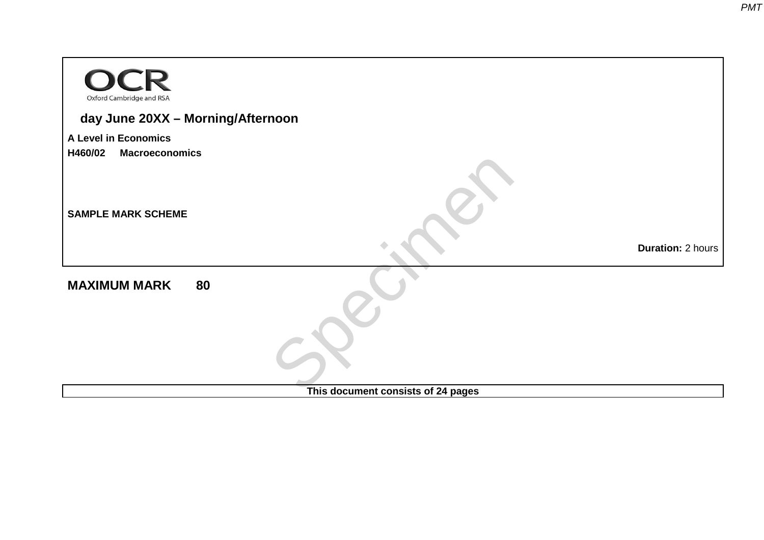| CR<br>Oxford Cambridge and RSA                                  |                                    |                          |
|-----------------------------------------------------------------|------------------------------------|--------------------------|
| day June 20XX - Morning/Afternoon                               |                                    |                          |
| <b>A Level in Economics</b><br>H460/02<br><b>Macroeconomics</b> |                                    |                          |
| <b>SAMPLE MARK SCHEME</b>                                       |                                    | <b>Duration: 2 hours</b> |
| <b>MAXIMUM MARK</b><br>80                                       |                                    |                          |
|                                                                 | This document consists of 24 pages |                          |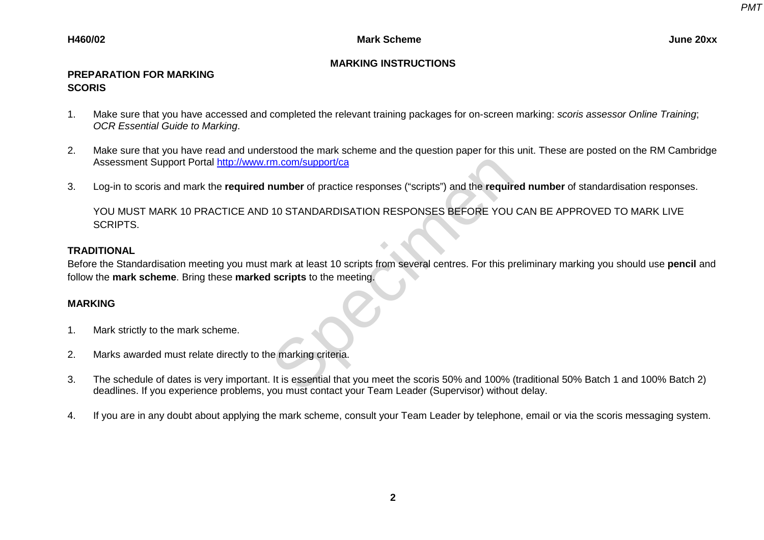# **MARKING INSTRUCTIONS**

# **PREPARATION FOR MARKING SCORIS**

- 1. Make sure that you have accessed and completed the relevant training packages for on-screen marking: *scoris assessor Online Training*; *OCR Essential Guide to Marking*.
- 2. Make sure that you have read and understood the mark scheme and the question paper for this unit. These are posted on the RM Cambridge Assessment Support Portal<http://www.rm.com/support/ca>
- 3.Log-in to scoris and mark the **required number** of practice responses ("scripts") and the **required number** of standardisation responses.

YOU MUST MARK 10 PRACTICE AND 10 STANDARDISATION RESPONSES BEFORE YOU CAN BE APPROVED TO MARK LIVE SCRIPTS. Fin.com/support/ca<br>
number of practice responses ("scripts") and the require<br>
10 STANDARDISATION RESPONSES BEFORE YOU<br>
mark at least 10 scripts from several centres. For this provides<br>
scripts to the meeting.<br>
16 scripts t

# **TRADITIONAL**

Before the Standardisation meeting you must mark at least 10 scripts from several centres. For this preliminary marking you should use **pencil** and follow the **mark scheme**. Bring these **marked scripts** to the meeting.

# **MARKING**

- 1. Mark strictly to the mark scheme.
- 2. Marks awarded must relate directly to the marking criteria.
- 3. The schedule of dates is very important. It is essential that you meet the scoris 50% and 100% (traditional 50% Batch 1 and 100% Batch 2) deadlines. If you experience problems, you must contact your Team Leader (Supervisor) without delay.
- 4. If you are in any doubt about applying the mark scheme, consult your Team Leader by telephone, email or via the scoris messaging system.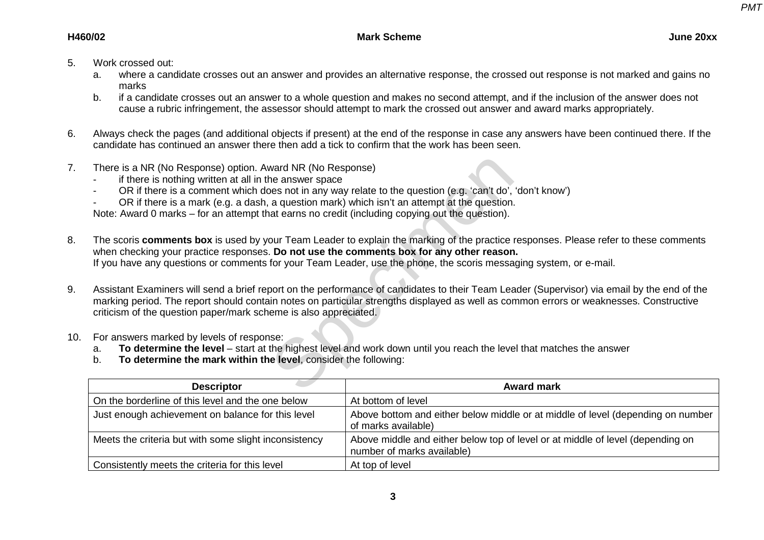# **H460/02**

- 5. Work crossed out:
	- a. where a candidate crosses out an answer and provides an alternative response, the crossed out response is not marked and gains no marks
	- b. if a candidate crosses out an answer to a whole question and makes no second attempt, and if the inclusion of the answer does not cause a rubric infringement, the assessor should attempt to mark the crossed out answer and award marks appropriately.
- 6. Always check the pages (and additional objects if present) at the end of the response in case any answers have been continued there. If the candidate has continued an answer there then add a tick to confirm that the work has been seen.
- 7. There is a NR (No Response) option. Award NR (No Response)
	- if there is nothing written at all in the answer space
	- OR if there is a comment which does not in any way relate to the question (e.g. 'can't do', 'don't know')
	- OR if there is a mark (e.g. a dash, a question mark) which isn't an attempt at the question.

Note: Award 0 marks – for an attempt that earns no credit (including copying out the question).

- 8. The scoris **comments box** is used by your Team Leader to explain the marking of the practice responses. Please refer to these comments when checking your practice responses. **Do not use the comments box for any other reason.** If you have any questions or comments for your Team Leader, use the phone, the scoris messaging system, or e-mail. ward NR (No Response)<br>
the answer space<br>
bes not in any way relate to the question (e.g. 'can't do',<br>
a question mark) which isn't an attempt at the question.<br>
hat earns no credit (including copying out the question).<br>
our
- 9. Assistant Examiners will send a brief report on the performance of candidates to their Team Leader (Supervisor) via email by the end of the marking period. The report should contain notes on particular strengths displayed as well as common errors or weaknesses. Constructive criticism of the question paper/mark scheme is also appreciated.
- 10. For answers marked by levels of response:
	- a.**To determine the level** – start at the highest level and work down until you reach the level that matches the answer
	- b.**To determine the mark within the level**, consider the following:

| <b>Descriptor</b>                                     | <b>Award mark</b>                                                                                            |
|-------------------------------------------------------|--------------------------------------------------------------------------------------------------------------|
| On the borderline of this level and the one below     | At bottom of level                                                                                           |
| Just enough achievement on balance for this level     | Above bottom and either below middle or at middle of level (depending on number<br>of marks available)       |
| Meets the criteria but with some slight inconsistency | Above middle and either below top of level or at middle of level (depending on<br>number of marks available) |
| Consistently meets the criteria for this level        | At top of level                                                                                              |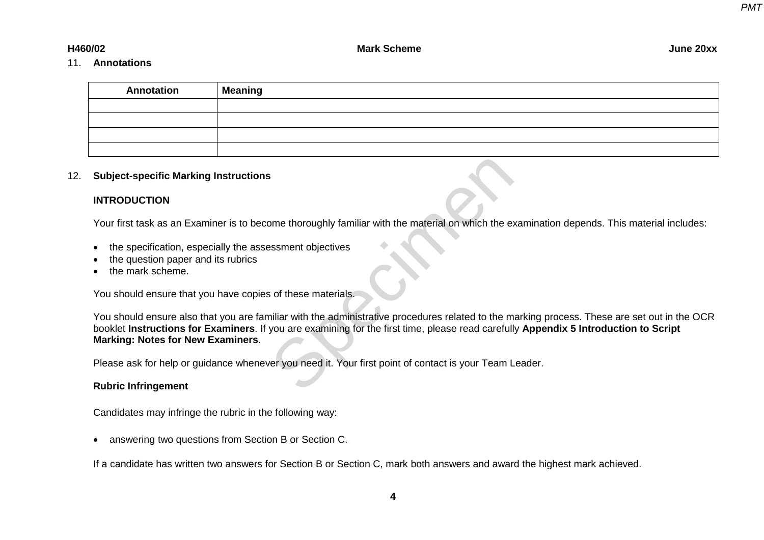# **H460/02**

# 11. **Annotations**

| <b>Annotation</b> | <b>Meaning</b> |
|-------------------|----------------|
|                   |                |
|                   |                |
|                   |                |
|                   |                |

### 12.**Subject-specific Marking Instructions**

# **INTRODUCTION**

Your first task as an Examiner is to become thoroughly familiar with the material on which the examination depends. This material includes:

- the specification, especially the assessment objectives
- the question paper and its rubrics
- the mark scheme.

You should ensure that you have copies of these materials.

You should ensure also that you are familiar with the administrative procedures related to the marking process. These are set out in the OCR booklet **Instructions for Examiners**. If you are examining for the first time, please read carefully **Appendix 5 Introduction to Script Marking: Notes for New Examiners**. S<br>
some thoroughly familiar with the material on which the exessment objectives<br>
so f these materials.<br>
miliar with the administrative procedures related to the m<br>
you are examining for the first time, please read carefull

Please ask for help or guidance whenever you need it. Your first point of contact is your Team Leader.

# **Rubric Infringement**

Candidates may infringe the rubric in the following way:

• answering two questions from Section B or Section C.

If a candidate has written two answers for Section B or Section C, mark both answers and award the highest mark achieved.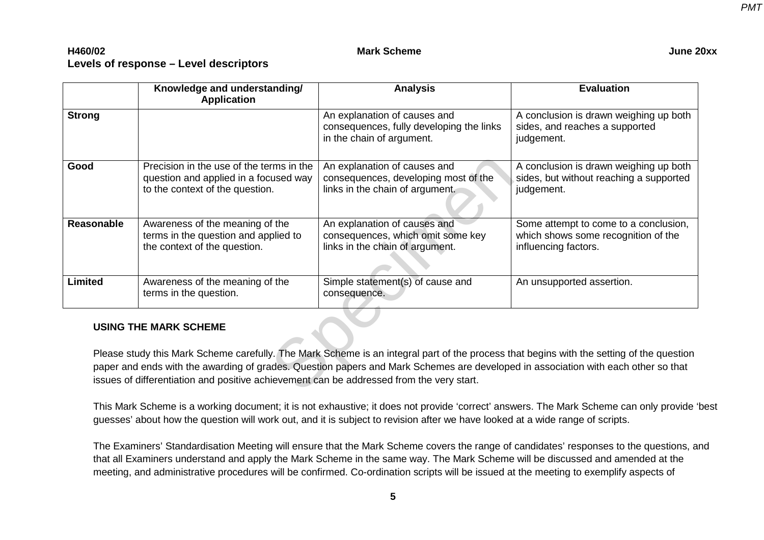# **H460/02Levels of response – Level descriptors**

|                                                                                                                                                                                                                                                                                                                                                                           | Knowledge and understanding/<br><b>Application</b>                                                                                         | <b>Analysis</b>                                                                                                                                                                                            | <b>Evaluation</b>                                                                                    |  |  |  |
|---------------------------------------------------------------------------------------------------------------------------------------------------------------------------------------------------------------------------------------------------------------------------------------------------------------------------------------------------------------------------|--------------------------------------------------------------------------------------------------------------------------------------------|------------------------------------------------------------------------------------------------------------------------------------------------------------------------------------------------------------|------------------------------------------------------------------------------------------------------|--|--|--|
| <b>Strong</b>                                                                                                                                                                                                                                                                                                                                                             |                                                                                                                                            | An explanation of causes and<br>consequences, fully developing the links<br>in the chain of argument.                                                                                                      | A conclusion is drawn weighing up both<br>sides, and reaches a supported<br>judgement.               |  |  |  |
| Good                                                                                                                                                                                                                                                                                                                                                                      | Precision in the use of the terms in the<br>question and applied in a focused way<br>to the context of the question.                       | A conclusion is drawn weighing up both<br>An explanation of causes and<br>sides, but without reaching a supported<br>consequences, developing most of the<br>links in the chain of argument.<br>judgement. |                                                                                                      |  |  |  |
| Reasonable                                                                                                                                                                                                                                                                                                                                                                | Awareness of the meaning of the<br>terms in the question and applied to<br>the context of the question.                                    | An explanation of causes and<br>consequences, which omit some key<br>links in the chain of argument.                                                                                                       | Some attempt to come to a conclusion,<br>which shows some recognition of the<br>influencing factors. |  |  |  |
| <b>Limited</b>                                                                                                                                                                                                                                                                                                                                                            | Simple statement(s) of cause and<br>Awareness of the meaning of the<br>An unsupported assertion.<br>terms in the question.<br>consequence. |                                                                                                                                                                                                            |                                                                                                      |  |  |  |
| <b>USING THE MARK SCHEME</b>                                                                                                                                                                                                                                                                                                                                              |                                                                                                                                            |                                                                                                                                                                                                            |                                                                                                      |  |  |  |
| Please study this Mark Scheme carefully. The Mark Scheme is an integral part of the process that begins with the setting of the question<br>paper and ends with the awarding of grades. Question papers and Mark Schemes are developed in association with each other so that<br>issues of differentiation and positive achievement can be addressed from the very start. |                                                                                                                                            |                                                                                                                                                                                                            |                                                                                                      |  |  |  |

# **USING THE MARK SCHEME**

This Mark Scheme is a working document; it is not exhaustive; it does not provide 'correct' answers. The Mark Scheme can only provide 'best guesses' about how the question will work out, and it is subject to revision after we have looked at a wide range of scripts.

The Examiners' Standardisation Meeting will ensure that the Mark Scheme covers the range of candidates' responses to the questions, and that all Examiners understand and apply the Mark Scheme in the same way. The Mark Scheme will be discussed and amended at the meeting, and administrative procedures will be confirmed. Co-ordination scripts will be issued at the meeting to exemplify aspects of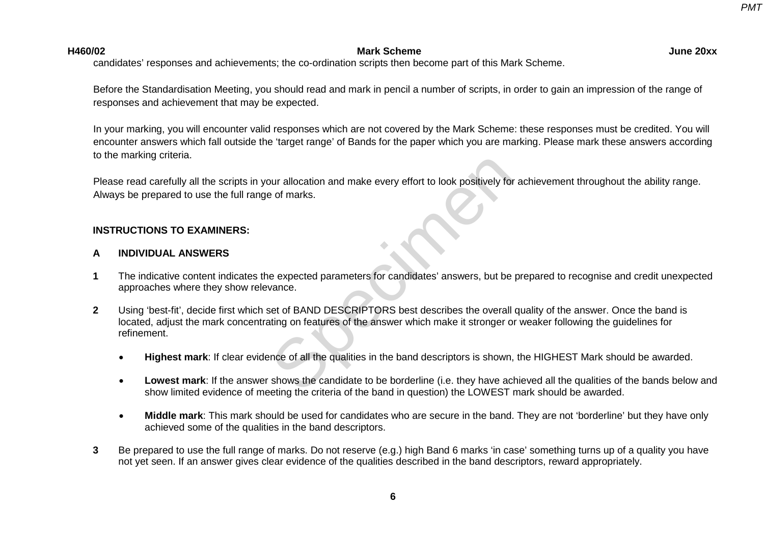# **H460/02**

# **Mark Scheme June 20xx**

candidates' responses and achievements; the co-ordination scripts then become part of this Mark Scheme.

Before the Standardisation Meeting, you should read and mark in pencil a number of scripts, in order to gain an impression of the range of responses and achievement that may be expected.

In your marking, you will encounter valid responses which are not covered by the Mark Scheme: these responses must be credited. You will encounter answers which fall outside the 'target range' of Bands for the paper which you are marking. Please mark these answers according to the marking criteria.

Please read carefully all the scripts in your allocation and make every effort to look positively for achievement throughout the ability range. Always be prepared to use the full range of marks.

# **INSTRUCTIONS TO EXAMINERS:**

# **A INDIVIDUAL ANSWERS**

- **1** The indicative content indicates the expected parameters for candidates' answers, but be prepared to recognise and credit unexpected approaches where they show relevance.
- **2** Using 'best-fit', decide first which set of BAND DESCRIPTORS best describes the overall quality of the answer. Once the band is located, adjust the mark concentrating on features of the answer which make it stronger or weaker following the guidelines for refinement. Dour allocation and make every effort to look positively for<br>
Dour allocation and make every effort to look positively for<br>
Species of marks.<br>
Set of BAND DESCRIPTORS best describes the overall<br>
Let of BAND DESCRIPTORS bes
	- •**Highest mark**: If clear evidence of all the qualities in the band descriptors is shown, the HIGHEST Mark should be awarded.
	- $\bullet$ Lowest mark: If the answer shows the candidate to be borderline (i.e. they have achieved all the qualities of the bands below and show limited evidence of meeting the criteria of the band in question) the LOWEST mark should be awarded.
	- • **Middle mark**: This mark should be used for candidates who are secure in the band. They are not 'borderline' but they have only achieved some of the qualities in the band descriptors.
- **3** Be prepared to use the full range of marks. Do not reserve (e.g.) high Band 6 marks 'in case' something turns up of a quality you have not yet seen. If an answer gives clear evidence of the qualities described in the band descriptors, reward appropriately.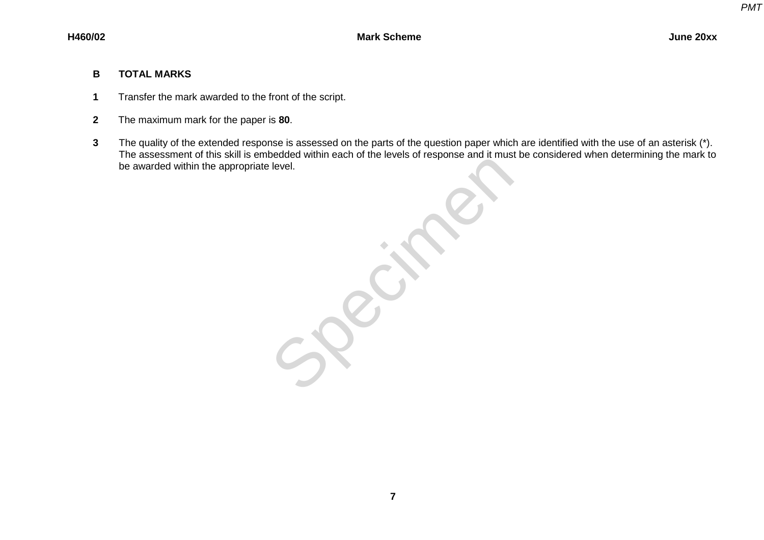*PMT*

# **B TOTAL MARKS**

- **1** Transfer the mark awarded to the front of the script.
- **2** The maximum mark for the paper is **80**.
- **3** The quality of the extended response is assessed on the parts of the question paper which are identified with the use of an asterisk (\*). The assessment of this skill is embedded within each of the levels of response and it must be considered when determining the mark to be awarded within the appropriate level.

 $\mathcal{P}$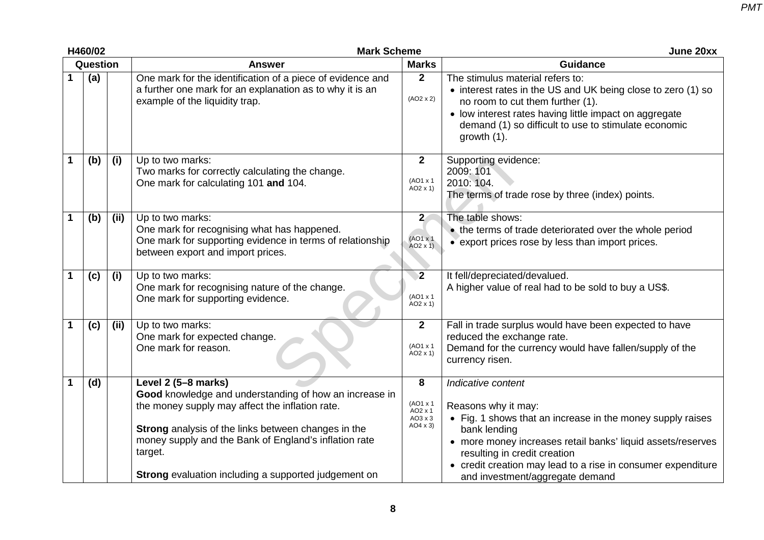|   | H460/02  | <b>Mark Scheme</b> |                                                                                                                                                                                                                                                                                                                            |                                                              | June 20xx                                                                                                                                                                                                                                                                                                                 |  |
|---|----------|--------------------|----------------------------------------------------------------------------------------------------------------------------------------------------------------------------------------------------------------------------------------------------------------------------------------------------------------------------|--------------------------------------------------------------|---------------------------------------------------------------------------------------------------------------------------------------------------------------------------------------------------------------------------------------------------------------------------------------------------------------------------|--|
|   | Question |                    | <b>Answer</b>                                                                                                                                                                                                                                                                                                              | <b>Marks</b>                                                 | <b>Guidance</b>                                                                                                                                                                                                                                                                                                           |  |
| 1 | (a)      |                    | One mark for the identification of a piece of evidence and<br>a further one mark for an explanation as to why it is an<br>example of the liquidity trap.                                                                                                                                                                   | $\mathbf{2}$<br>$(AO2 \times 2)$                             | The stimulus material refers to:<br>• interest rates in the US and UK being close to zero (1) so<br>no room to cut them further (1).<br>• low interest rates having little impact on aggregate<br>demand (1) so difficult to use to stimulate economic<br>growth $(1)$ .                                                  |  |
| 1 | (b)      | (i)                | Up to two marks:<br>Two marks for correctly calculating the change.<br>One mark for calculating 101 and 104.                                                                                                                                                                                                               | $\overline{2}$<br>(AO1 x 1<br>$AO2 \times 1$                 | Supporting evidence:<br>2009: 101<br>2010: 104.<br>The terms of trade rose by three (index) points.                                                                                                                                                                                                                       |  |
| 1 | (b)      | (ii)               | Up to two marks:<br>One mark for recognising what has happened.<br>One mark for supporting evidence in terms of relationship<br>between export and import prices.                                                                                                                                                          | 2 <sup>1</sup><br>(AO1 x 1<br>$AO2 \times 1$                 | The table shows:<br>• the terms of trade deteriorated over the whole period<br>• export prices rose by less than import prices.                                                                                                                                                                                           |  |
| 1 | (c)      | (i)                | Up to two marks:<br>One mark for recognising nature of the change.<br>One mark for supporting evidence.                                                                                                                                                                                                                    | $\overline{2}$<br>(AO1 x 1<br>$AO2 \times 1$                 | It fell/depreciated/devalued.<br>A higher value of real had to be sold to buy a US\$.                                                                                                                                                                                                                                     |  |
| 1 | (c)      | (ii)               | Up to two marks:<br>One mark for expected change.<br>One mark for reason.                                                                                                                                                                                                                                                  | $\overline{2}$<br>(AO1 x 1<br>$AO2 \times 1$                 | Fall in trade surplus would have been expected to have<br>reduced the exchange rate.<br>Demand for the currency would have fallen/supply of the<br>currency risen.                                                                                                                                                        |  |
| 1 | (d)      |                    | Level 2 (5-8 marks)<br>Good knowledge and understanding of how an increase in<br>the money supply may affect the inflation rate.<br><b>Strong</b> analysis of the links between changes in the<br>money supply and the Bank of England's inflation rate<br>target.<br>Strong evaluation including a supported judgement on | 8<br>(AO1 x 1<br>AO2 x 1<br>$AO3 \times 3$<br>$AO4 \times 3$ | Indicative content<br>Reasons why it may:<br>• Fig. 1 shows that an increase in the money supply raises<br>bank lending<br>• more money increases retail banks' liquid assets/reserves<br>resulting in credit creation<br>• credit creation may lead to a rise in consumer expenditure<br>and investment/aggregate demand |  |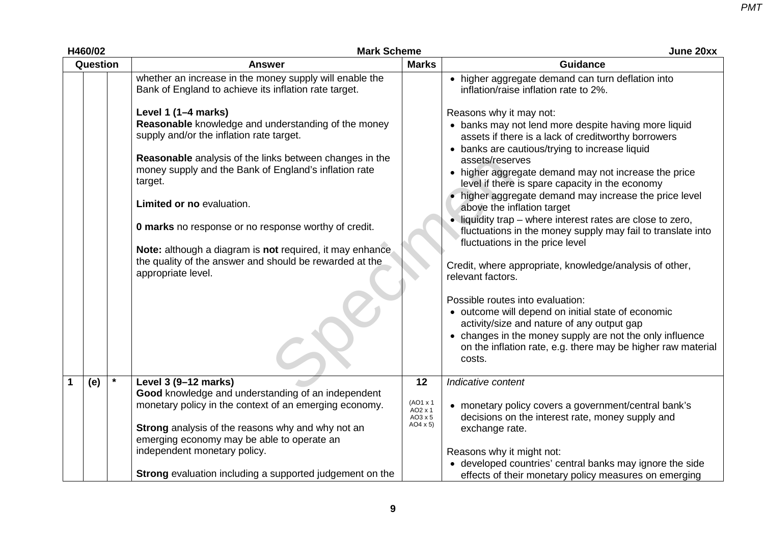| H460/02     |          |         | <b>Mark Scheme</b>                                                                                                                                                                                                                                                                                                                                                                                                                                                                             |                                       | June 20xx                                                                                                                                                                                                                                                                                                                                                                                                                                                                                                                                                                                                                                                                                                                                                                                              |  |
|-------------|----------|---------|------------------------------------------------------------------------------------------------------------------------------------------------------------------------------------------------------------------------------------------------------------------------------------------------------------------------------------------------------------------------------------------------------------------------------------------------------------------------------------------------|---------------------------------------|--------------------------------------------------------------------------------------------------------------------------------------------------------------------------------------------------------------------------------------------------------------------------------------------------------------------------------------------------------------------------------------------------------------------------------------------------------------------------------------------------------------------------------------------------------------------------------------------------------------------------------------------------------------------------------------------------------------------------------------------------------------------------------------------------------|--|
|             | Question |         | Answer                                                                                                                                                                                                                                                                                                                                                                                                                                                                                         | <b>Marks</b>                          | <b>Guidance</b>                                                                                                                                                                                                                                                                                                                                                                                                                                                                                                                                                                                                                                                                                                                                                                                        |  |
|             |          |         | whether an increase in the money supply will enable the<br>Bank of England to achieve its inflation rate target.                                                                                                                                                                                                                                                                                                                                                                               |                                       | • higher aggregate demand can turn deflation into<br>inflation/raise inflation rate to 2%.                                                                                                                                                                                                                                                                                                                                                                                                                                                                                                                                                                                                                                                                                                             |  |
|             |          |         | Level 1 (1-4 marks)<br>Reasonable knowledge and understanding of the money<br>supply and/or the inflation rate target.<br>Reasonable analysis of the links between changes in the<br>money supply and the Bank of England's inflation rate<br>target.<br>Limited or no evaluation.<br><b>0 marks</b> no response or no response worthy of credit.<br>Note: although a diagram is not required, it may enhance<br>the quality of the answer and should be rewarded at the<br>appropriate level. |                                       | Reasons why it may not:<br>• banks may not lend more despite having more liquid<br>assets if there is a lack of creditworthy borrowers<br>• banks are cautious/trying to increase liquid<br>assets/reserves<br>• higher aggregate demand may not increase the price<br>level if there is spare capacity in the economy<br>• higher aggregate demand may increase the price level<br>above the inflation target<br>· liquidity trap - where interest rates are close to zero,<br>fluctuations in the money supply may fail to translate into<br>fluctuations in the price level<br>Credit, where appropriate, knowledge/analysis of other,<br>relevant factors.<br>Possible routes into evaluation:<br>• outcome will depend on initial state of economic<br>activity/size and nature of any output gap |  |
|             |          |         |                                                                                                                                                                                                                                                                                                                                                                                                                                                                                                |                                       | • changes in the money supply are not the only influence<br>on the inflation rate, e.g. there may be higher raw material<br>costs.                                                                                                                                                                                                                                                                                                                                                                                                                                                                                                                                                                                                                                                                     |  |
| $\mathbf 1$ | (e)      | $\star$ | Level 3 (9-12 marks)                                                                                                                                                                                                                                                                                                                                                                                                                                                                           | 12                                    | Indicative content                                                                                                                                                                                                                                                                                                                                                                                                                                                                                                                                                                                                                                                                                                                                                                                     |  |
|             |          |         | Good knowledge and understanding of an independent<br>monetary policy in the context of an emerging economy.                                                                                                                                                                                                                                                                                                                                                                                   | (AO1 x 1<br>AO2 x 1<br>$AO3 \times 5$ | • monetary policy covers a government/central bank's<br>decisions on the interest rate, money supply and                                                                                                                                                                                                                                                                                                                                                                                                                                                                                                                                                                                                                                                                                               |  |
|             |          |         | Strong analysis of the reasons why and why not an                                                                                                                                                                                                                                                                                                                                                                                                                                              | $AO4 \times 5$                        | exchange rate.                                                                                                                                                                                                                                                                                                                                                                                                                                                                                                                                                                                                                                                                                                                                                                                         |  |
|             |          |         | emerging economy may be able to operate an                                                                                                                                                                                                                                                                                                                                                                                                                                                     |                                       |                                                                                                                                                                                                                                                                                                                                                                                                                                                                                                                                                                                                                                                                                                                                                                                                        |  |
|             |          |         | independent monetary policy.                                                                                                                                                                                                                                                                                                                                                                                                                                                                   |                                       | Reasons why it might not:                                                                                                                                                                                                                                                                                                                                                                                                                                                                                                                                                                                                                                                                                                                                                                              |  |
|             |          |         | <b>Strong</b> evaluation including a supported judgement on the                                                                                                                                                                                                                                                                                                                                                                                                                                |                                       | • developed countries' central banks may ignore the side<br>effects of their monetary policy measures on emerging                                                                                                                                                                                                                                                                                                                                                                                                                                                                                                                                                                                                                                                                                      |  |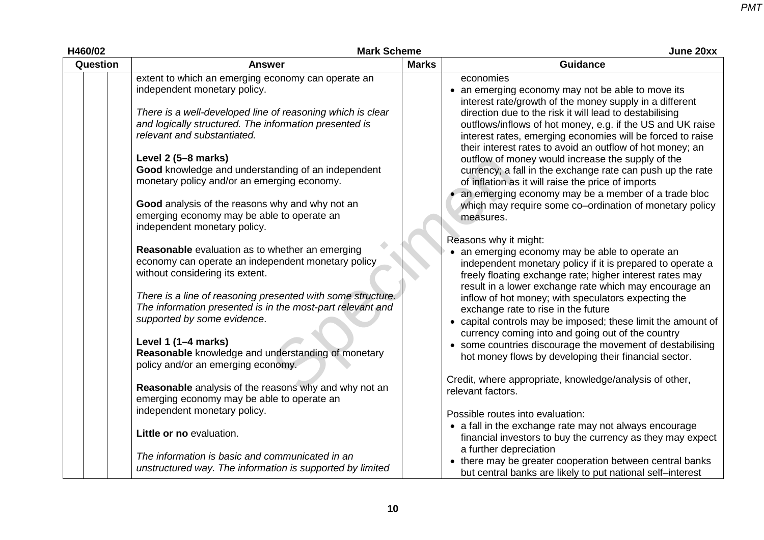| H460/02  | <b>Mark Scheme</b>                                                                                                                                                                                                                                                                                                                                                                                                      |              | June 20xx                                                                                                                                                                                                                                                                                                                                                                                                                                                                                                                                                                                             |  |  |
|----------|-------------------------------------------------------------------------------------------------------------------------------------------------------------------------------------------------------------------------------------------------------------------------------------------------------------------------------------------------------------------------------------------------------------------------|--------------|-------------------------------------------------------------------------------------------------------------------------------------------------------------------------------------------------------------------------------------------------------------------------------------------------------------------------------------------------------------------------------------------------------------------------------------------------------------------------------------------------------------------------------------------------------------------------------------------------------|--|--|
| Question | Answer                                                                                                                                                                                                                                                                                                                                                                                                                  | <b>Marks</b> | <b>Guidance</b>                                                                                                                                                                                                                                                                                                                                                                                                                                                                                                                                                                                       |  |  |
|          | extent to which an emerging economy can operate an<br>independent monetary policy.                                                                                                                                                                                                                                                                                                                                      |              | economies<br>• an emerging economy may not be able to move its<br>interest rate/growth of the money supply in a different                                                                                                                                                                                                                                                                                                                                                                                                                                                                             |  |  |
|          | There is a well-developed line of reasoning which is clear<br>and logically structured. The information presented is<br>relevant and substantiated.<br>Level 2 (5-8 marks)<br>Good knowledge and understanding of an independent                                                                                                                                                                                        |              | direction due to the risk it will lead to destabilising<br>outflows/inflows of hot money, e.g. if the US and UK raise<br>interest rates, emerging economies will be forced to raise<br>their interest rates to avoid an outflow of hot money; an<br>outflow of money would increase the supply of the<br>currency; a fall in the exchange rate can push up the rate                                                                                                                                                                                                                                   |  |  |
|          | monetary policy and/or an emerging economy.                                                                                                                                                                                                                                                                                                                                                                             |              | of inflation as it will raise the price of imports<br>an emerging economy may be a member of a trade bloc                                                                                                                                                                                                                                                                                                                                                                                                                                                                                             |  |  |
|          | Good analysis of the reasons why and why not an<br>emerging economy may be able to operate an<br>independent monetary policy.                                                                                                                                                                                                                                                                                           |              | which may require some co-ordination of monetary policy<br>measures.                                                                                                                                                                                                                                                                                                                                                                                                                                                                                                                                  |  |  |
|          | Reasonable evaluation as to whether an emerging<br>economy can operate an independent monetary policy<br>without considering its extent.<br>There is a line of reasoning presented with some structure.<br>The information presented is in the most-part relevant and<br>supported by some evidence.<br>Level 1 (1-4 marks)<br>Reasonable knowledge and understanding of monetary<br>policy and/or an emerging economy. |              | Reasons why it might:<br>• an emerging economy may be able to operate an<br>independent monetary policy if it is prepared to operate a<br>freely floating exchange rate; higher interest rates may<br>result in a lower exchange rate which may encourage an<br>inflow of hot money; with speculators expecting the<br>exchange rate to rise in the future<br>• capital controls may be imposed; these limit the amount of<br>currency coming into and going out of the country<br>• some countries discourage the movement of destabilising<br>hot money flows by developing their financial sector. |  |  |
|          | Reasonable analysis of the reasons why and why not an<br>emerging economy may be able to operate an                                                                                                                                                                                                                                                                                                                     |              | Credit, where appropriate, knowledge/analysis of other,<br>relevant factors.                                                                                                                                                                                                                                                                                                                                                                                                                                                                                                                          |  |  |
|          | independent monetary policy.<br>Little or no evaluation.                                                                                                                                                                                                                                                                                                                                                                |              | Possible routes into evaluation:<br>• a fall in the exchange rate may not always encourage                                                                                                                                                                                                                                                                                                                                                                                                                                                                                                            |  |  |
|          | The information is basic and communicated in an<br>unstructured way. The information is supported by limited                                                                                                                                                                                                                                                                                                            |              | financial investors to buy the currency as they may expect<br>a further depreciation<br>• there may be greater cooperation between central banks<br>but central banks are likely to put national self-interest                                                                                                                                                                                                                                                                                                                                                                                        |  |  |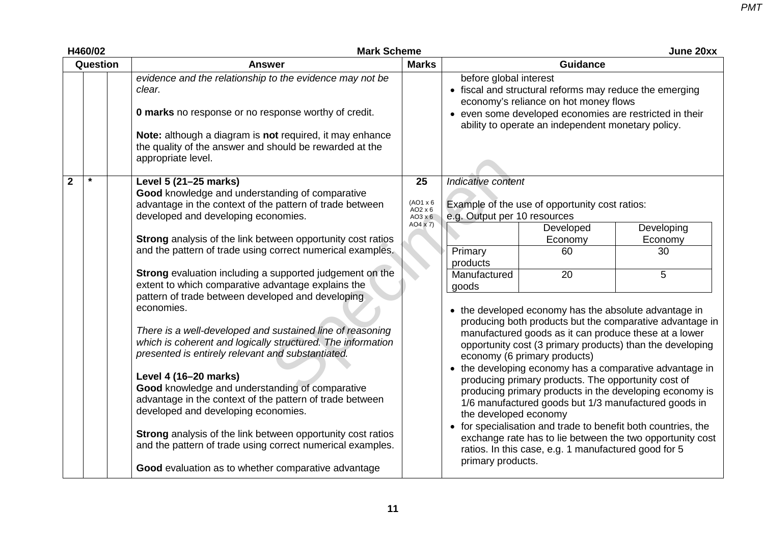| H460/02                  | <b>Mark Scheme</b>                                                                                                                                                                                                                                                                                                                                                                                                                                                                                                                                                                                                                                                                                                                           |                                                            | June 20xx                                                                       |                                                                                                                                                        |                                                                                                                                                                                                                                                                                                                                                                                                                                                                                                                                                          |
|--------------------------|----------------------------------------------------------------------------------------------------------------------------------------------------------------------------------------------------------------------------------------------------------------------------------------------------------------------------------------------------------------------------------------------------------------------------------------------------------------------------------------------------------------------------------------------------------------------------------------------------------------------------------------------------------------------------------------------------------------------------------------------|------------------------------------------------------------|---------------------------------------------------------------------------------|--------------------------------------------------------------------------------------------------------------------------------------------------------|----------------------------------------------------------------------------------------------------------------------------------------------------------------------------------------------------------------------------------------------------------------------------------------------------------------------------------------------------------------------------------------------------------------------------------------------------------------------------------------------------------------------------------------------------------|
| Question                 | <b>Marks</b><br><b>Answer</b>                                                                                                                                                                                                                                                                                                                                                                                                                                                                                                                                                                                                                                                                                                                |                                                            | <b>Guidance</b>                                                                 |                                                                                                                                                        |                                                                                                                                                                                                                                                                                                                                                                                                                                                                                                                                                          |
|                          | evidence and the relationship to the evidence may not be<br>clear.<br><b>0 marks</b> no response or no response worthy of credit.<br>Note: although a diagram is not required, it may enhance<br>the quality of the answer and should be rewarded at the<br>appropriate level.                                                                                                                                                                                                                                                                                                                                                                                                                                                               |                                                            | before global interest                                                          | • fiscal and structural reforms may reduce the emerging<br>economy's reliance on hot money flows<br>ability to operate an independent monetary policy. | • even some developed economies are restricted in their                                                                                                                                                                                                                                                                                                                                                                                                                                                                                                  |
| $\overline{2}$<br>$\ast$ | Level 5 (21-25 marks)<br>Good knowledge and understanding of comparative<br>advantage in the context of the pattern of trade between<br>developed and developing economies.                                                                                                                                                                                                                                                                                                                                                                                                                                                                                                                                                                  | 25<br>$(AO1 \times 6)$<br>$AO2 \times 6$<br>$AO3 \times 6$ | Indicative content<br>e.g. Output per 10 resources                              | Example of the use of opportunity cost ratios:                                                                                                         |                                                                                                                                                                                                                                                                                                                                                                                                                                                                                                                                                          |
|                          | Strong analysis of the link between opportunity cost ratios<br>and the pattern of trade using correct numerical examples.                                                                                                                                                                                                                                                                                                                                                                                                                                                                                                                                                                                                                    | $AO4 \times 7$                                             | Primary                                                                         | Developed<br>Economy<br>60                                                                                                                             | Developing<br>Economy<br>30                                                                                                                                                                                                                                                                                                                                                                                                                                                                                                                              |
|                          | <b>Strong</b> evaluation including a supported judgement on the<br>extent to which comparative advantage explains the<br>pattern of trade between developed and developing<br>economies.<br>There is a well-developed and sustained line of reasoning<br>which is coherent and logically structured. The information<br>presented is entirely relevant and substantiated.<br>Level 4 (16-20 marks)<br>Good knowledge and understanding of comparative<br>advantage in the context of the pattern of trade between<br>developed and developing economies.<br>Strong analysis of the link between opportunity cost ratios<br>and the pattern of trade using correct numerical examples.<br>Good evaluation as to whether comparative advantage |                                                            | products<br>Manufactured<br>goods<br>the developed economy<br>primary products. | 20<br>economy (6 primary products)<br>producing primary products. The opportunity cost of<br>ratios. In this case, e.g. 1 manufactured good for 5      | 5<br>• the developed economy has the absolute advantage in<br>producing both products but the comparative advantage in<br>manufactured goods as it can produce these at a lower<br>opportunity cost (3 primary products) than the developing<br>• the developing economy has a comparative advantage in<br>producing primary products in the developing economy is<br>1/6 manufactured goods but 1/3 manufactured goods in<br>• for specialisation and trade to benefit both countries, the<br>exchange rate has to lie between the two opportunity cost |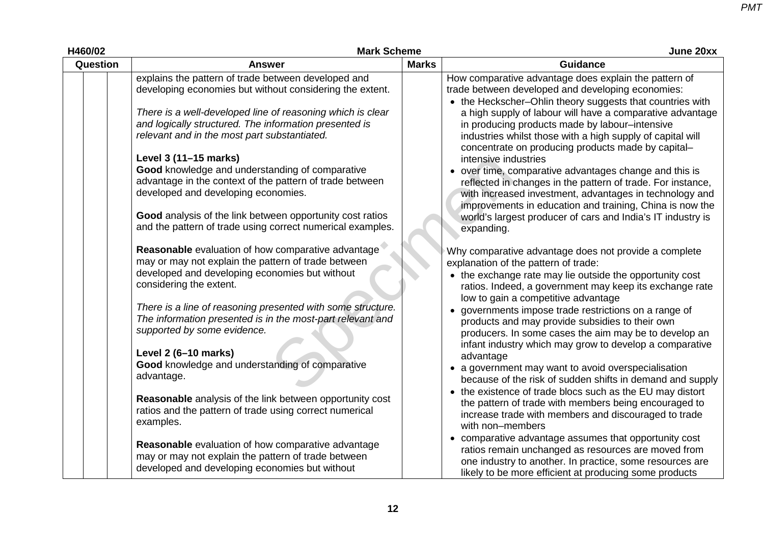| H460/02  | <b>Mark Scheme</b>                                                                                                                                                                                                                                                                                                                                                                                                                                                                                                                                                                                                                                                                                                                                    |              | June 20xx                                                                                                                                                                                                                                                                                                                                                                                                                                                                                                                                                                                                                                                                                                                                                                                                                                                                                                                                                                                                                                                            |  |
|----------|-------------------------------------------------------------------------------------------------------------------------------------------------------------------------------------------------------------------------------------------------------------------------------------------------------------------------------------------------------------------------------------------------------------------------------------------------------------------------------------------------------------------------------------------------------------------------------------------------------------------------------------------------------------------------------------------------------------------------------------------------------|--------------|----------------------------------------------------------------------------------------------------------------------------------------------------------------------------------------------------------------------------------------------------------------------------------------------------------------------------------------------------------------------------------------------------------------------------------------------------------------------------------------------------------------------------------------------------------------------------------------------------------------------------------------------------------------------------------------------------------------------------------------------------------------------------------------------------------------------------------------------------------------------------------------------------------------------------------------------------------------------------------------------------------------------------------------------------------------------|--|
| Question | Answer                                                                                                                                                                                                                                                                                                                                                                                                                                                                                                                                                                                                                                                                                                                                                | <b>Marks</b> | <b>Guidance</b>                                                                                                                                                                                                                                                                                                                                                                                                                                                                                                                                                                                                                                                                                                                                                                                                                                                                                                                                                                                                                                                      |  |
|          | explains the pattern of trade between developed and<br>developing economies but without considering the extent.<br>There is a well-developed line of reasoning which is clear<br>and logically structured. The information presented is<br>relevant and in the most part substantiated.<br>Level 3 (11-15 marks)<br>Good knowledge and understanding of comparative<br>advantage in the context of the pattern of trade between<br>developed and developing economies.<br>Good analysis of the link between opportunity cost ratios<br>and the pattern of trade using correct numerical examples.                                                                                                                                                     |              | How comparative advantage does explain the pattern of<br>trade between developed and developing economies:<br>• the Heckscher-Ohlin theory suggests that countries with<br>a high supply of labour will have a comparative advantage<br>in producing products made by labour-intensive<br>industries whilst those with a high supply of capital will<br>concentrate on producing products made by capital-<br>intensive industries<br>• over time, comparative advantages change and this is<br>reflected in changes in the pattern of trade. For instance,<br>with increased investment, advantages in technology and<br>improvements in education and training, China is now the<br>world's largest producer of cars and India's IT industry is<br>expanding.                                                                                                                                                                                                                                                                                                      |  |
|          | <b>Reasonable</b> evaluation of how comparative advantage<br>may or may not explain the pattern of trade between<br>developed and developing economies but without<br>considering the extent.<br>There is a line of reasoning presented with some structure.<br>The information presented is in the most-part relevant and<br>supported by some evidence.<br>Level 2 (6-10 marks)<br>Good knowledge and understanding of comparative<br>advantage.<br>Reasonable analysis of the link between opportunity cost<br>ratios and the pattern of trade using correct numerical<br>examples.<br>Reasonable evaluation of how comparative advantage<br>may or may not explain the pattern of trade between<br>developed and developing economies but without |              | Why comparative advantage does not provide a complete<br>explanation of the pattern of trade:<br>• the exchange rate may lie outside the opportunity cost<br>ratios. Indeed, a government may keep its exchange rate<br>low to gain a competitive advantage<br>• governments impose trade restrictions on a range of<br>products and may provide subsidies to their own<br>producers. In some cases the aim may be to develop an<br>infant industry which may grow to develop a comparative<br>advantage<br>• a government may want to avoid overspecialisation<br>because of the risk of sudden shifts in demand and supply<br>• the existence of trade blocs such as the EU may distort<br>the pattern of trade with members being encouraged to<br>increase trade with members and discouraged to trade<br>with non-members<br>• comparative advantage assumes that opportunity cost<br>ratios remain unchanged as resources are moved from<br>one industry to another. In practice, some resources are<br>likely to be more efficient at producing some products |  |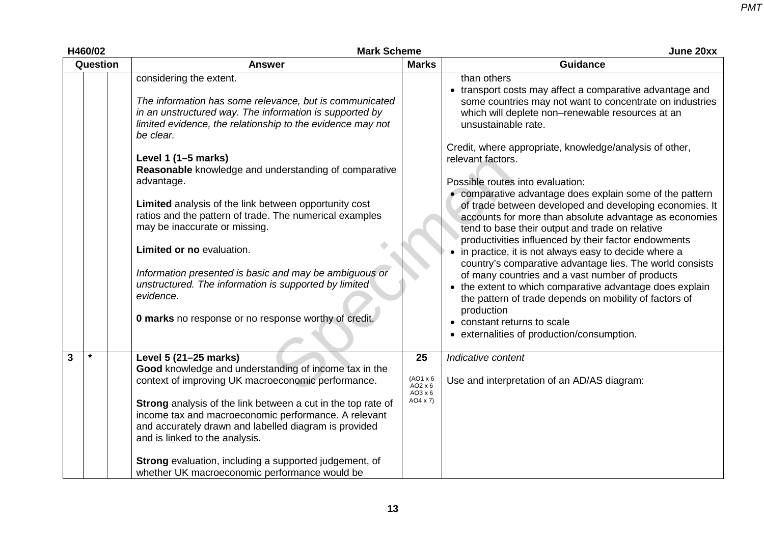| H460/02      | <b>Mark Scheme</b>                                                                                                                                                                                                                                                                                                                                                                                                                                                                                                                                                                                                                                                                                      |                                                               | June 20xx                                                                                                                                                                                                                                                                                                                                                                                                                                                                                                                                                                                                                                                                                                                                                                                                                                                                                                                                                                                                                |  |
|--------------|---------------------------------------------------------------------------------------------------------------------------------------------------------------------------------------------------------------------------------------------------------------------------------------------------------------------------------------------------------------------------------------------------------------------------------------------------------------------------------------------------------------------------------------------------------------------------------------------------------------------------------------------------------------------------------------------------------|---------------------------------------------------------------|--------------------------------------------------------------------------------------------------------------------------------------------------------------------------------------------------------------------------------------------------------------------------------------------------------------------------------------------------------------------------------------------------------------------------------------------------------------------------------------------------------------------------------------------------------------------------------------------------------------------------------------------------------------------------------------------------------------------------------------------------------------------------------------------------------------------------------------------------------------------------------------------------------------------------------------------------------------------------------------------------------------------------|--|
| Question     | <b>Answer</b>                                                                                                                                                                                                                                                                                                                                                                                                                                                                                                                                                                                                                                                                                           | <b>Marks</b>                                                  | <b>Guidance</b>                                                                                                                                                                                                                                                                                                                                                                                                                                                                                                                                                                                                                                                                                                                                                                                                                                                                                                                                                                                                          |  |
|              | considering the extent.<br>The information has some relevance, but is communicated<br>in an unstructured way. The information is supported by<br>limited evidence, the relationship to the evidence may not<br>be clear.<br>Level 1 (1-5 marks)<br>Reasonable knowledge and understanding of comparative<br>advantage.<br>Limited analysis of the link between opportunity cost<br>ratios and the pattern of trade. The numerical examples<br>may be inaccurate or missing.<br>Limited or no evaluation.<br>Information presented is basic and may be ambiguous or<br>unstructured. The information is supported by limited<br>evidence.<br><b>0 marks</b> no response or no response worthy of credit. |                                                               | than others<br>• transport costs may affect a comparative advantage and<br>some countries may not want to concentrate on industries<br>which will deplete non-renewable resources at an<br>unsustainable rate.<br>Credit, where appropriate, knowledge/analysis of other,<br>relevant factors.<br>Possible routes into evaluation:<br>• comparative advantage does explain some of the pattern<br>of trade between developed and developing economies. It<br>accounts for more than absolute advantage as economies<br>tend to base their output and trade on relative<br>productivities influenced by their factor endowments<br>• in practice, it is not always easy to decide where a<br>country's comparative advantage lies. The world consists<br>of many countries and a vast number of products<br>• the extent to which comparative advantage does explain<br>the pattern of trade depends on mobility of factors of<br>production<br>• constant returns to scale<br>• externalities of production/consumption. |  |
| 3<br>$\star$ | Level 5 (21-25 marks)<br>Good knowledge and understanding of income tax in the<br>context of improving UK macroeconomic performance.<br>Strong analysis of the link between a cut in the top rate of<br>income tax and macroeconomic performance. A relevant<br>and accurately drawn and labelled diagram is provided<br>and is linked to the analysis.<br>Strong evaluation, including a supported judgement, of<br>whether UK macroeconomic performance would be                                                                                                                                                                                                                                      | 25<br>(AO1 x 6<br>AO2 x 6<br>$AO3 \times 6$<br>$AO4 \times 7$ | Indicative content<br>Use and interpretation of an AD/AS diagram:                                                                                                                                                                                                                                                                                                                                                                                                                                                                                                                                                                                                                                                                                                                                                                                                                                                                                                                                                        |  |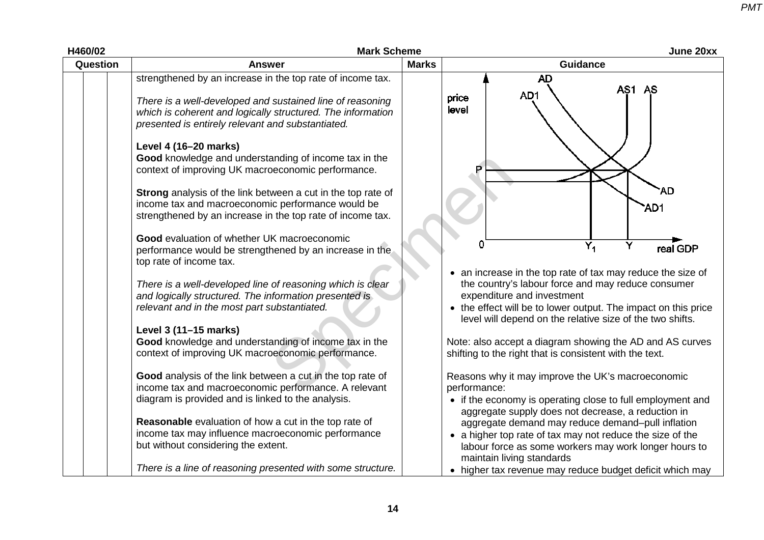| H460/02<br><b>Mark Scheme</b> |                                                                                                                                                                                                                                                                                                                                                                                                                                                                                                                                                                                                                                                                                                                                                                                                                                                                                                                                                                              | June 20xx    |                                                                                                                                                                                                                                                                                                                                                                                                                                                                                                                      |  |
|-------------------------------|------------------------------------------------------------------------------------------------------------------------------------------------------------------------------------------------------------------------------------------------------------------------------------------------------------------------------------------------------------------------------------------------------------------------------------------------------------------------------------------------------------------------------------------------------------------------------------------------------------------------------------------------------------------------------------------------------------------------------------------------------------------------------------------------------------------------------------------------------------------------------------------------------------------------------------------------------------------------------|--------------|----------------------------------------------------------------------------------------------------------------------------------------------------------------------------------------------------------------------------------------------------------------------------------------------------------------------------------------------------------------------------------------------------------------------------------------------------------------------------------------------------------------------|--|
| Question                      | <b>Answer</b>                                                                                                                                                                                                                                                                                                                                                                                                                                                                                                                                                                                                                                                                                                                                                                                                                                                                                                                                                                | <b>Marks</b> | <b>Guidance</b>                                                                                                                                                                                                                                                                                                                                                                                                                                                                                                      |  |
|                               | strengthened by an increase in the top rate of income tax.<br>There is a well-developed and sustained line of reasoning<br>which is coherent and logically structured. The information<br>presented is entirely relevant and substantiated.<br>Level 4 (16-20 marks)<br>Good knowledge and understanding of income tax in the<br>context of improving UK macroeconomic performance.<br>Strong analysis of the link between a cut in the top rate of<br>income tax and macroeconomic performance would be<br>strengthened by an increase in the top rate of income tax.<br><b>Good</b> evaluation of whether UK macroeconomic<br>performance would be strengthened by an increase in the<br>top rate of income tax.<br>There is a well-developed line of reasoning which is clear<br>and logically structured. The information presented is<br>relevant and in the most part substantiated.<br>Level 3 (11-15 marks)<br>Good knowledge and understanding of income tax in the |              | <b>AD</b><br>AS1 AS<br>AD <sub>1</sub><br>price<br>level<br>AD<br>AD1<br>0<br>$Y_1$<br>Y<br>real GDP<br>• an increase in the top rate of tax may reduce the size of<br>the country's labour force and may reduce consumer<br>expenditure and investment<br>• the effect will be to lower output. The impact on this price<br>level will depend on the relative size of the two shifts.<br>Note: also accept a diagram showing the AD and AS curves                                                                   |  |
|                               | context of improving UK macroeconomic performance.<br>Good analysis of the link between a cut in the top rate of<br>income tax and macroeconomic performance. A relevant<br>diagram is provided and is linked to the analysis.<br>Reasonable evaluation of how a cut in the top rate of<br>income tax may influence macroeconomic performance<br>but without considering the extent.<br>There is a line of reasoning presented with some structure.                                                                                                                                                                                                                                                                                                                                                                                                                                                                                                                          |              | shifting to the right that is consistent with the text.<br>Reasons why it may improve the UK's macroeconomic<br>performance:<br>• if the economy is operating close to full employment and<br>aggregate supply does not decrease, a reduction in<br>aggregate demand may reduce demand-pull inflation<br>• a higher top rate of tax may not reduce the size of the<br>labour force as some workers may work longer hours to<br>maintain living standards<br>• higher tax revenue may reduce budget deficit which may |  |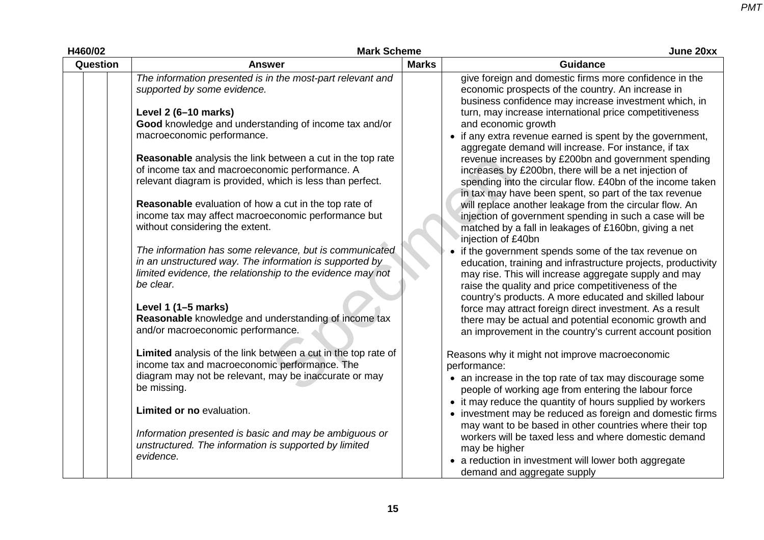| H460/02  | <b>Mark Scheme</b>                                                                                                                                                                                                                                                                                                                                                                                                                                                                                                                                                                                                                                                                                                                                                                                                                                            |              | June 20xx                                                                                                                                                                                                                                                                                                                                                                                                                                                                                                                                                                                                                                                                                                                                                                                                                                                                                                                                                                                                                                                                                                                                                                                                                                                                                                 |  |
|----------|---------------------------------------------------------------------------------------------------------------------------------------------------------------------------------------------------------------------------------------------------------------------------------------------------------------------------------------------------------------------------------------------------------------------------------------------------------------------------------------------------------------------------------------------------------------------------------------------------------------------------------------------------------------------------------------------------------------------------------------------------------------------------------------------------------------------------------------------------------------|--------------|-----------------------------------------------------------------------------------------------------------------------------------------------------------------------------------------------------------------------------------------------------------------------------------------------------------------------------------------------------------------------------------------------------------------------------------------------------------------------------------------------------------------------------------------------------------------------------------------------------------------------------------------------------------------------------------------------------------------------------------------------------------------------------------------------------------------------------------------------------------------------------------------------------------------------------------------------------------------------------------------------------------------------------------------------------------------------------------------------------------------------------------------------------------------------------------------------------------------------------------------------------------------------------------------------------------|--|
| Question | <b>Answer</b>                                                                                                                                                                                                                                                                                                                                                                                                                                                                                                                                                                                                                                                                                                                                                                                                                                                 | <b>Marks</b> | <b>Guidance</b>                                                                                                                                                                                                                                                                                                                                                                                                                                                                                                                                                                                                                                                                                                                                                                                                                                                                                                                                                                                                                                                                                                                                                                                                                                                                                           |  |
|          | The information presented is in the most-part relevant and<br>supported by some evidence.<br>Level 2 (6-10 marks)<br>Good knowledge and understanding of income tax and/or<br>macroeconomic performance.<br>Reasonable analysis the link between a cut in the top rate<br>of income tax and macroeconomic performance. A<br>relevant diagram is provided, which is less than perfect.<br>Reasonable evaluation of how a cut in the top rate of<br>income tax may affect macroeconomic performance but<br>without considering the extent.<br>The information has some relevance, but is communicated<br>in an unstructured way. The information is supported by<br>limited evidence, the relationship to the evidence may not<br>be clear.<br>Level 1 (1-5 marks)<br>Reasonable knowledge and understanding of income tax<br>and/or macroeconomic performance. |              | give foreign and domestic firms more confidence in the<br>economic prospects of the country. An increase in<br>business confidence may increase investment which, in<br>turn, may increase international price competitiveness<br>and economic growth<br>• if any extra revenue earned is spent by the government,<br>aggregate demand will increase. For instance, if tax<br>revenue increases by £200bn and government spending<br>increases by £200bn, there will be a net injection of<br>spending into the circular flow. £40bn of the income taken<br>in tax may have been spent, so part of the tax revenue<br>will replace another leakage from the circular flow. An<br>injection of government spending in such a case will be<br>matched by a fall in leakages of £160bn, giving a net<br>injection of £40bn<br>if the government spends some of the tax revenue on<br>education, training and infrastructure projects, productivity<br>may rise. This will increase aggregate supply and may<br>raise the quality and price competitiveness of the<br>country's products. A more educated and skilled labour<br>force may attract foreign direct investment. As a result<br>there may be actual and potential economic growth and<br>an improvement in the country's current account position |  |
|          | Limited analysis of the link between a cut in the top rate of<br>income tax and macroeconomic performance. The<br>diagram may not be relevant, may be inaccurate or may<br>be missing.<br>Limited or no evaluation.<br>Information presented is basic and may be ambiguous or<br>unstructured. The information is supported by limited<br>evidence.                                                                                                                                                                                                                                                                                                                                                                                                                                                                                                           |              | Reasons why it might not improve macroeconomic<br>performance:<br>• an increase in the top rate of tax may discourage some<br>people of working age from entering the labour force<br>• it may reduce the quantity of hours supplied by workers<br>• investment may be reduced as foreign and domestic firms<br>may want to be based in other countries where their top<br>workers will be taxed less and where domestic demand<br>may be higher<br>• a reduction in investment will lower both aggregate<br>demand and aggregate supply                                                                                                                                                                                                                                                                                                                                                                                                                                                                                                                                                                                                                                                                                                                                                                  |  |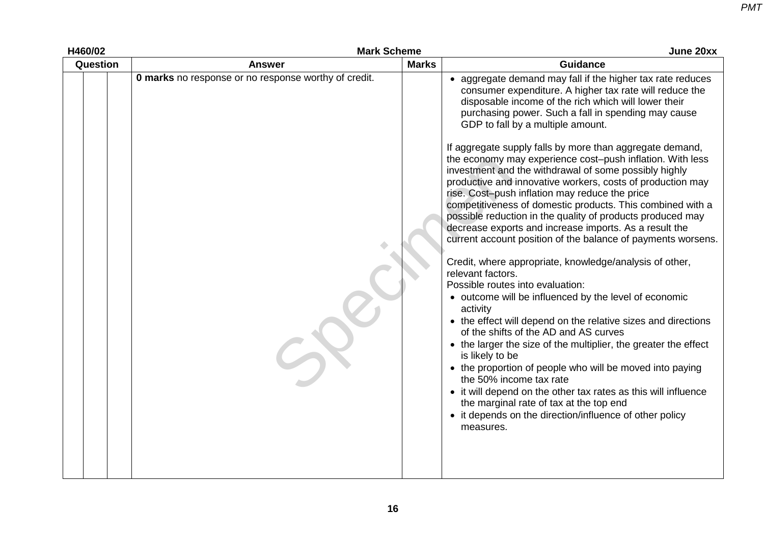| H460/02  | <b>Mark Scheme</b>                                          | June 20xx    |                                                                                                                                                                                                                                                                                                                                                                                                                                                                                                                                                                                                                                                                                                                                                                                                                                                                                                                                                                                                                                                                                                                                                                                                                                                                                                                                                                                                                                                                                                        |  |  |
|----------|-------------------------------------------------------------|--------------|--------------------------------------------------------------------------------------------------------------------------------------------------------------------------------------------------------------------------------------------------------------------------------------------------------------------------------------------------------------------------------------------------------------------------------------------------------------------------------------------------------------------------------------------------------------------------------------------------------------------------------------------------------------------------------------------------------------------------------------------------------------------------------------------------------------------------------------------------------------------------------------------------------------------------------------------------------------------------------------------------------------------------------------------------------------------------------------------------------------------------------------------------------------------------------------------------------------------------------------------------------------------------------------------------------------------------------------------------------------------------------------------------------------------------------------------------------------------------------------------------------|--|--|
| Question | <b>Answer</b>                                               | <b>Marks</b> | <b>Guidance</b>                                                                                                                                                                                                                                                                                                                                                                                                                                                                                                                                                                                                                                                                                                                                                                                                                                                                                                                                                                                                                                                                                                                                                                                                                                                                                                                                                                                                                                                                                        |  |  |
|          | <b>0 marks</b> no response or no response worthy of credit. |              | • aggregate demand may fall if the higher tax rate reduces<br>consumer expenditure. A higher tax rate will reduce the<br>disposable income of the rich which will lower their<br>purchasing power. Such a fall in spending may cause<br>GDP to fall by a multiple amount.<br>If aggregate supply falls by more than aggregate demand,<br>the economy may experience cost-push inflation. With less<br>investment and the withdrawal of some possibly highly<br>productive and innovative workers, costs of production may<br>rise. Cost-push inflation may reduce the price<br>competitiveness of domestic products. This combined with a<br>possible reduction in the quality of products produced may<br>decrease exports and increase imports. As a result the<br>current account position of the balance of payments worsens.<br>Credit, where appropriate, knowledge/analysis of other,<br>relevant factors.<br>Possible routes into evaluation:<br>• outcome will be influenced by the level of economic<br>activity<br>• the effect will depend on the relative sizes and directions<br>of the shifts of the AD and AS curves<br>• the larger the size of the multiplier, the greater the effect<br>is likely to be<br>• the proportion of people who will be moved into paying<br>the 50% income tax rate<br>• it will depend on the other tax rates as this will influence<br>the marginal rate of tax at the top end<br>• it depends on the direction/influence of other policy<br>measures. |  |  |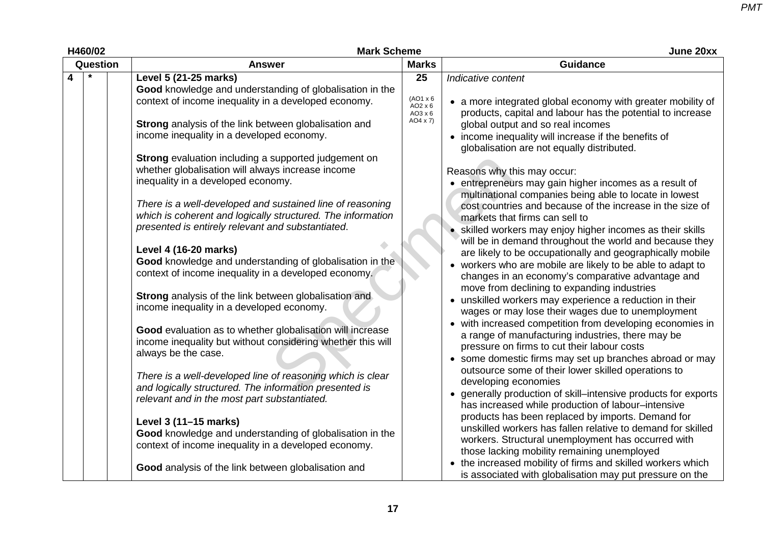| H460/02<br>Question |  | <b>Mark Scheme</b>                                                                                                                                                                                                                                                                                      | June 20xx                                                     |                                                                                                                                                                                                                                                                                            |  |
|---------------------|--|---------------------------------------------------------------------------------------------------------------------------------------------------------------------------------------------------------------------------------------------------------------------------------------------------------|---------------------------------------------------------------|--------------------------------------------------------------------------------------------------------------------------------------------------------------------------------------------------------------------------------------------------------------------------------------------|--|
|                     |  | <b>Answer</b>                                                                                                                                                                                                                                                                                           |                                                               | <b>Guidance</b>                                                                                                                                                                                                                                                                            |  |
| 4                   |  | Level 5 (21-25 marks)<br>Good knowledge and understanding of globalisation in the<br>context of income inequality in a developed economy.<br>Strong analysis of the link between globalisation and<br>income inequality in a developed economy.<br>Strong evaluation including a supported judgement on | 25<br>(AO1 x 6<br>AO2 x 6<br>$A03 \times 6$<br>$AO4 \times 7$ | Indicative content<br>• a more integrated global economy with greater mobility of<br>products, capital and labour has the potential to increase<br>global output and so real incomes<br>• income inequality will increase if the benefits of<br>globalisation are not equally distributed. |  |
|                     |  | whether globalisation will always increase income<br>inequality in a developed economy.                                                                                                                                                                                                                 |                                                               | Reasons why this may occur:<br>• entrepreneurs may gain higher incomes as a result of<br>multinational companies being able to locate in lowest                                                                                                                                            |  |
|                     |  | There is a well-developed and sustained line of reasoning<br>which is coherent and logically structured. The information<br>presented is entirely relevant and substantiated.                                                                                                                           |                                                               | cost countries and because of the increase in the size of<br>markets that firms can sell to<br>skilled workers may enjoy higher incomes as their skills<br>will be in demand throughout the world and because they                                                                         |  |
|                     |  | Level 4 (16-20 marks)<br>Good knowledge and understanding of globalisation in the<br>context of income inequality in a developed economy.                                                                                                                                                               |                                                               | are likely to be occupationally and geographically mobile<br>• workers who are mobile are likely to be able to adapt to<br>changes in an economy's comparative advantage and<br>move from declining to expanding industries                                                                |  |
|                     |  | Strong analysis of the link between globalisation and<br>income inequality in a developed economy.                                                                                                                                                                                                      |                                                               | • unskilled workers may experience a reduction in their<br>wages or may lose their wages due to unemployment<br>• with increased competition from developing economies in                                                                                                                  |  |
|                     |  | Good evaluation as to whether globalisation will increase<br>income inequality but without considering whether this will<br>always be the case.                                                                                                                                                         |                                                               | a range of manufacturing industries, there may be<br>pressure on firms to cut their labour costs<br>• some domestic firms may set up branches abroad or may                                                                                                                                |  |
|                     |  | There is a well-developed line of reasoning which is clear<br>and logically structured. The information presented is<br>relevant and in the most part substantiated.                                                                                                                                    |                                                               | outsource some of their lower skilled operations to<br>developing economies<br>• generally production of skill-intensive products for exports<br>has increased while production of labour-intensive                                                                                        |  |
|                     |  | Level 3 (11-15 marks)<br>Good knowledge and understanding of globalisation in the<br>context of income inequality in a developed economy.                                                                                                                                                               |                                                               | products has been replaced by imports. Demand for<br>unskilled workers has fallen relative to demand for skilled<br>workers. Structural unemployment has occurred with<br>those lacking mobility remaining unemployed                                                                      |  |
|                     |  | Good analysis of the link between globalisation and                                                                                                                                                                                                                                                     |                                                               | • the increased mobility of firms and skilled workers which<br>is associated with globalisation may put pressure on the                                                                                                                                                                    |  |

*PMT*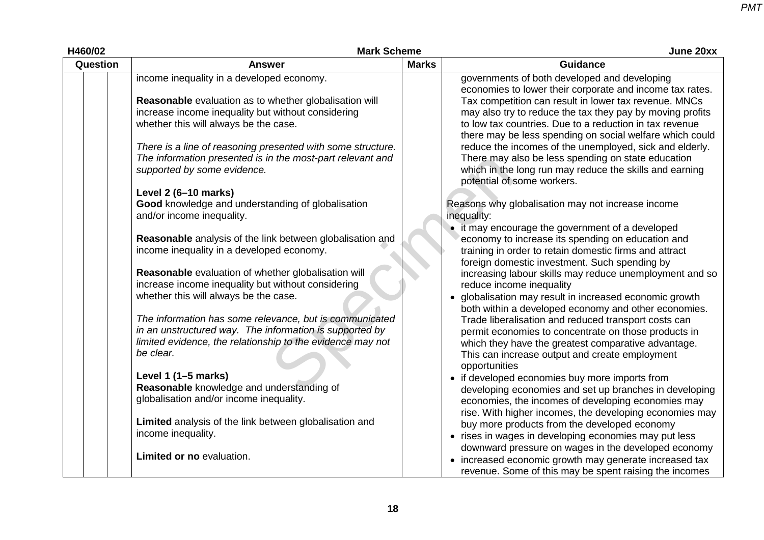| H460/02  | <b>Mark Scheme</b>                                                                                                                                                                                                                                                                                                                                                                                                                                                                                                                                                             | June 20xx    |                                                                                                                                                                                                                                                                                                                                                                                                                                                                                                                                                                                                                                                                                                                                                                                                                                        |  |
|----------|--------------------------------------------------------------------------------------------------------------------------------------------------------------------------------------------------------------------------------------------------------------------------------------------------------------------------------------------------------------------------------------------------------------------------------------------------------------------------------------------------------------------------------------------------------------------------------|--------------|----------------------------------------------------------------------------------------------------------------------------------------------------------------------------------------------------------------------------------------------------------------------------------------------------------------------------------------------------------------------------------------------------------------------------------------------------------------------------------------------------------------------------------------------------------------------------------------------------------------------------------------------------------------------------------------------------------------------------------------------------------------------------------------------------------------------------------------|--|
| Question | <b>Answer</b>                                                                                                                                                                                                                                                                                                                                                                                                                                                                                                                                                                  | <b>Marks</b> | <b>Guidance</b>                                                                                                                                                                                                                                                                                                                                                                                                                                                                                                                                                                                                                                                                                                                                                                                                                        |  |
|          | income inequality in a developed economy.<br>Reasonable evaluation as to whether globalisation will<br>increase income inequality but without considering<br>whether this will always be the case.<br>There is a line of reasoning presented with some structure.<br>The information presented is in the most-part relevant and<br>supported by some evidence.<br>Level 2 (6-10 marks)                                                                                                                                                                                         |              | governments of both developed and developing<br>economies to lower their corporate and income tax rates.<br>Tax competition can result in lower tax revenue. MNCs<br>may also try to reduce the tax they pay by moving profits<br>to low tax countries. Due to a reduction in tax revenue<br>there may be less spending on social welfare which could<br>reduce the incomes of the unemployed, sick and elderly.<br>There may also be less spending on state education<br>which in the long run may reduce the skills and earning<br>potential of some workers.                                                                                                                                                                                                                                                                        |  |
|          | Good knowledge and understanding of globalisation                                                                                                                                                                                                                                                                                                                                                                                                                                                                                                                              |              | Reasons why globalisation may not increase income                                                                                                                                                                                                                                                                                                                                                                                                                                                                                                                                                                                                                                                                                                                                                                                      |  |
|          | and/or income inequality.                                                                                                                                                                                                                                                                                                                                                                                                                                                                                                                                                      |              | inequality:                                                                                                                                                                                                                                                                                                                                                                                                                                                                                                                                                                                                                                                                                                                                                                                                                            |  |
|          | Reasonable analysis of the link between globalisation and<br>income inequality in a developed economy.<br>Reasonable evaluation of whether globalisation will<br>increase income inequality but without considering<br>whether this will always be the case.<br>The information has some relevance, but is communicated<br>in an unstructured way. The information is supported by<br>limited evidence, the relationship to the evidence may not<br>be clear.<br>Level 1 $(1-5$ marks)<br>Reasonable knowledge and understanding of<br>globalisation and/or income inequality. |              | • it may encourage the government of a developed<br>economy to increase its spending on education and<br>training in order to retain domestic firms and attract<br>foreign domestic investment. Such spending by<br>increasing labour skills may reduce unemployment and so<br>reduce income inequality<br>• globalisation may result in increased economic growth<br>both within a developed economy and other economies.<br>Trade liberalisation and reduced transport costs can<br>permit economies to concentrate on those products in<br>which they have the greatest comparative advantage.<br>This can increase output and create employment<br>opportunities<br>• if developed economies buy more imports from<br>developing economies and set up branches in developing<br>economies, the incomes of developing economies may |  |
|          | Limited analysis of the link between globalisation and<br>income inequality.<br>Limited or no evaluation.                                                                                                                                                                                                                                                                                                                                                                                                                                                                      |              | rise. With higher incomes, the developing economies may<br>buy more products from the developed economy<br>• rises in wages in developing economies may put less<br>downward pressure on wages in the developed economy<br>• increased economic growth may generate increased tax<br>revenue. Some of this may be spent raising the incomes                                                                                                                                                                                                                                                                                                                                                                                                                                                                                            |  |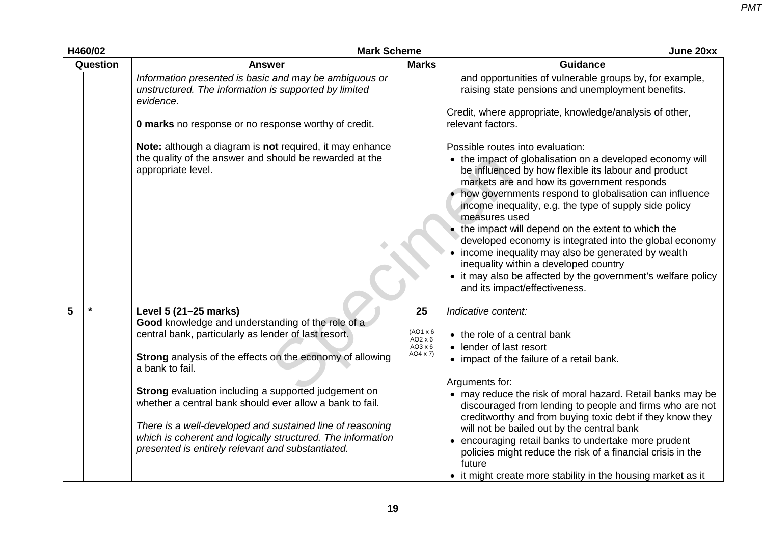| H460/02  | <b>Mark Scheme</b>                                                                                                                                                                                                                                                                                                                                                                                                                                                                                                             | June 20xx                                                                    |                                                                                                                                                                                                                                                                                                                                                                                                                                                                                                                                                                                                                                                              |  |  |  |
|----------|--------------------------------------------------------------------------------------------------------------------------------------------------------------------------------------------------------------------------------------------------------------------------------------------------------------------------------------------------------------------------------------------------------------------------------------------------------------------------------------------------------------------------------|------------------------------------------------------------------------------|--------------------------------------------------------------------------------------------------------------------------------------------------------------------------------------------------------------------------------------------------------------------------------------------------------------------------------------------------------------------------------------------------------------------------------------------------------------------------------------------------------------------------------------------------------------------------------------------------------------------------------------------------------------|--|--|--|
| Question | Answer                                                                                                                                                                                                                                                                                                                                                                                                                                                                                                                         | <b>Marks</b>                                                                 | <b>Guidance</b>                                                                                                                                                                                                                                                                                                                                                                                                                                                                                                                                                                                                                                              |  |  |  |
|          | Information presented is basic and may be ambiguous or<br>unstructured. The information is supported by limited<br>evidence.                                                                                                                                                                                                                                                                                                                                                                                                   |                                                                              | and opportunities of vulnerable groups by, for example,<br>raising state pensions and unemployment benefits.                                                                                                                                                                                                                                                                                                                                                                                                                                                                                                                                                 |  |  |  |
|          | <b>0 marks</b> no response or no response worthy of credit.                                                                                                                                                                                                                                                                                                                                                                                                                                                                    |                                                                              | Credit, where appropriate, knowledge/analysis of other,<br>relevant factors.                                                                                                                                                                                                                                                                                                                                                                                                                                                                                                                                                                                 |  |  |  |
|          | Note: although a diagram is not required, it may enhance<br>the quality of the answer and should be rewarded at the<br>appropriate level.                                                                                                                                                                                                                                                                                                                                                                                      |                                                                              | Possible routes into evaluation:<br>• the impact of globalisation on a developed economy will<br>be influenced by how flexible its labour and product<br>markets are and how its government responds<br>how governments respond to globalisation can influence<br>income inequality, e.g. the type of supply side policy<br>measures used<br>• the impact will depend on the extent to which the<br>developed economy is integrated into the global economy<br>• income inequality may also be generated by wealth<br>inequality within a developed country<br>• it may also be affected by the government's welfare policy<br>and its impact/effectiveness. |  |  |  |
| 5        | Level 5 (21-25 marks)<br>Good knowledge and understanding of the role of a<br>central bank, particularly as lender of last resort.<br><b>Strong</b> analysis of the effects on the economy of allowing<br>a bank to fail.<br>Strong evaluation including a supported judgement on<br>whether a central bank should ever allow a bank to fail.<br>There is a well-developed and sustained line of reasoning<br>which is coherent and logically structured. The information<br>presented is entirely relevant and substantiated. | 25<br>$(AO1 \times 6)$<br>$AO2 \times 6$<br>$AO3 \times 6$<br>$AO4 \times 7$ | Indicative content:<br>• the role of a central bank<br>• lender of last resort<br>• impact of the failure of a retail bank.<br>Arguments for:<br>• may reduce the risk of moral hazard. Retail banks may be<br>discouraged from lending to people and firms who are not<br>creditworthy and from buying toxic debt if they know they<br>will not be bailed out by the central bank<br>• encouraging retail banks to undertake more prudent<br>policies might reduce the risk of a financial crisis in the<br>future<br>• it might create more stability in the housing market as it                                                                          |  |  |  |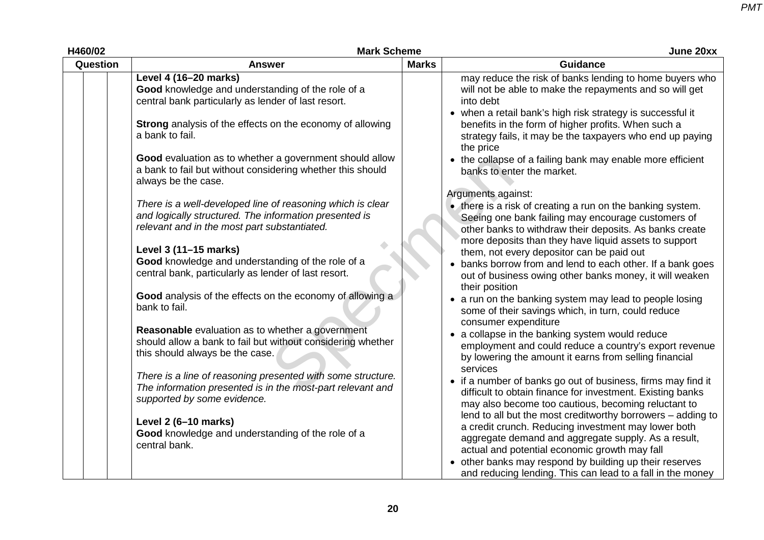| H460/02  | <b>Mark Scheme</b>                                                                                                                                                                                                                                                                                                                                                                                                                                                                                                                                                                                                                                                                                                                                                                                                                                                                                                                                                                                                                                                                                                                                                            |              | June 20xx                                                                                                                                                                                                                                                                                                                                                                                                                                                                                                                                                                                                                                                                                                                                                                                                                                                                                                                                                                                                                                                                                                                                                                                                                                                                                                                                                                                                                                                                                                                                                                                                                                                                                                                                              |  |  |
|----------|-------------------------------------------------------------------------------------------------------------------------------------------------------------------------------------------------------------------------------------------------------------------------------------------------------------------------------------------------------------------------------------------------------------------------------------------------------------------------------------------------------------------------------------------------------------------------------------------------------------------------------------------------------------------------------------------------------------------------------------------------------------------------------------------------------------------------------------------------------------------------------------------------------------------------------------------------------------------------------------------------------------------------------------------------------------------------------------------------------------------------------------------------------------------------------|--------------|--------------------------------------------------------------------------------------------------------------------------------------------------------------------------------------------------------------------------------------------------------------------------------------------------------------------------------------------------------------------------------------------------------------------------------------------------------------------------------------------------------------------------------------------------------------------------------------------------------------------------------------------------------------------------------------------------------------------------------------------------------------------------------------------------------------------------------------------------------------------------------------------------------------------------------------------------------------------------------------------------------------------------------------------------------------------------------------------------------------------------------------------------------------------------------------------------------------------------------------------------------------------------------------------------------------------------------------------------------------------------------------------------------------------------------------------------------------------------------------------------------------------------------------------------------------------------------------------------------------------------------------------------------------------------------------------------------------------------------------------------------|--|--|
| Question | <b>Answer</b>                                                                                                                                                                                                                                                                                                                                                                                                                                                                                                                                                                                                                                                                                                                                                                                                                                                                                                                                                                                                                                                                                                                                                                 | <b>Marks</b> | <b>Guidance</b>                                                                                                                                                                                                                                                                                                                                                                                                                                                                                                                                                                                                                                                                                                                                                                                                                                                                                                                                                                                                                                                                                                                                                                                                                                                                                                                                                                                                                                                                                                                                                                                                                                                                                                                                        |  |  |
|          | Level 4 (16-20 marks)<br>Good knowledge and understanding of the role of a<br>central bank particularly as lender of last resort.<br>Strong analysis of the effects on the economy of allowing<br>a bank to fail.<br>Good evaluation as to whether a government should allow<br>a bank to fail but without considering whether this should<br>always be the case.<br>There is a well-developed line of reasoning which is clear<br>and logically structured. The information presented is<br>relevant and in the most part substantiated.<br>Level 3 (11-15 marks)<br>Good knowledge and understanding of the role of a<br>central bank, particularly as lender of last resort.<br>Good analysis of the effects on the economy of allowing a<br>bank to fail.<br>Reasonable evaluation as to whether a government<br>should allow a bank to fail but without considering whether<br>this should always be the case.<br>There is a line of reasoning presented with some structure.<br>The information presented is in the most-part relevant and<br>supported by some evidence.<br>Level 2 (6-10 marks)<br>Good knowledge and understanding of the role of a<br>central bank. |              | may reduce the risk of banks lending to home buyers who<br>will not be able to make the repayments and so will get<br>into debt<br>• when a retail bank's high risk strategy is successful it<br>benefits in the form of higher profits. When such a<br>strategy fails, it may be the taxpayers who end up paying<br>the price<br>• the collapse of a failing bank may enable more efficient<br>banks to enter the market.<br>Arguments against:<br>• there is a risk of creating a run on the banking system.<br>Seeing one bank failing may encourage customers of<br>other banks to withdraw their deposits. As banks create<br>more deposits than they have liquid assets to support<br>them, not every depositor can be paid out<br>banks borrow from and lend to each other. If a bank goes<br>out of business owing other banks money, it will weaken<br>their position<br>• a run on the banking system may lead to people losing<br>some of their savings which, in turn, could reduce<br>consumer expenditure<br>• a collapse in the banking system would reduce<br>employment and could reduce a country's export revenue<br>by lowering the amount it earns from selling financial<br>services<br>• if a number of banks go out of business, firms may find it<br>difficult to obtain finance for investment. Existing banks<br>may also become too cautious, becoming reluctant to<br>lend to all but the most creditworthy borrowers - adding to<br>a credit crunch. Reducing investment may lower both<br>aggregate demand and aggregate supply. As a result,<br>actual and potential economic growth may fall<br>• other banks may respond by building up their reserves<br>and reducing lending. This can lead to a fall in the money |  |  |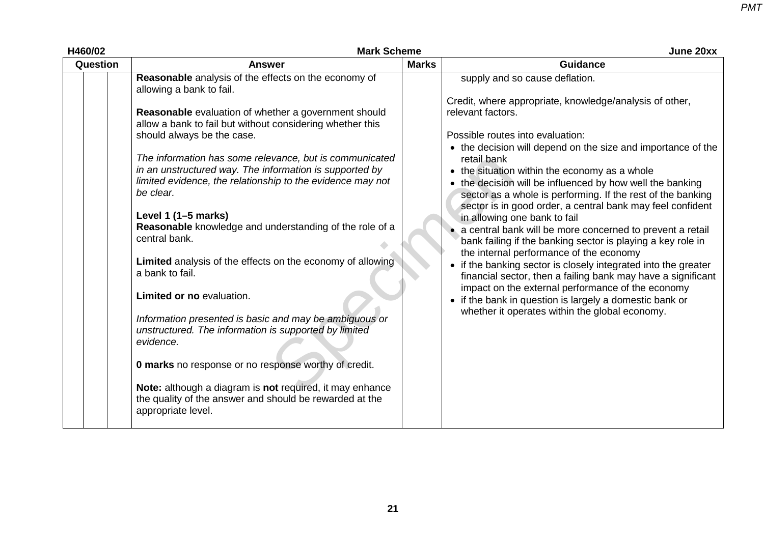| H460/02  | <b>Mark Scheme</b>                                                                                                                                                                                                                                                                                                                                                                                                                                                                                                                                                                                                                                                                                                                                                                                                                                                                                                                                                                                | June 20xx    |                                                                                                                                                                                                                                                                                                                                                                                                                                                                                                                                                                                                                                                                                                                                                                                                                                                                                                                                                                                         |  |  |
|----------|---------------------------------------------------------------------------------------------------------------------------------------------------------------------------------------------------------------------------------------------------------------------------------------------------------------------------------------------------------------------------------------------------------------------------------------------------------------------------------------------------------------------------------------------------------------------------------------------------------------------------------------------------------------------------------------------------------------------------------------------------------------------------------------------------------------------------------------------------------------------------------------------------------------------------------------------------------------------------------------------------|--------------|-----------------------------------------------------------------------------------------------------------------------------------------------------------------------------------------------------------------------------------------------------------------------------------------------------------------------------------------------------------------------------------------------------------------------------------------------------------------------------------------------------------------------------------------------------------------------------------------------------------------------------------------------------------------------------------------------------------------------------------------------------------------------------------------------------------------------------------------------------------------------------------------------------------------------------------------------------------------------------------------|--|--|
| Question | <b>Answer</b>                                                                                                                                                                                                                                                                                                                                                                                                                                                                                                                                                                                                                                                                                                                                                                                                                                                                                                                                                                                     | <b>Marks</b> | <b>Guidance</b>                                                                                                                                                                                                                                                                                                                                                                                                                                                                                                                                                                                                                                                                                                                                                                                                                                                                                                                                                                         |  |  |
|          | Reasonable analysis of the effects on the economy of<br>allowing a bank to fail.<br>Reasonable evaluation of whether a government should<br>allow a bank to fail but without considering whether this<br>should always be the case.<br>The information has some relevance, but is communicated<br>in an unstructured way. The information is supported by<br>limited evidence, the relationship to the evidence may not<br>be clear.<br>Level 1 (1-5 marks)<br>Reasonable knowledge and understanding of the role of a<br>central bank.<br>Limited analysis of the effects on the economy of allowing<br>a bank to fail.<br>Limited or no evaluation.<br>Information presented is basic and may be ambiguous or<br>unstructured. The information is supported by limited<br>evidence.<br><b>0 marks</b> no response or no response worthy of credit.<br>Note: although a diagram is not required, it may enhance<br>the quality of the answer and should be rewarded at the<br>appropriate level. |              | supply and so cause deflation.<br>Credit, where appropriate, knowledge/analysis of other,<br>relevant factors.<br>Possible routes into evaluation:<br>• the decision will depend on the size and importance of the<br>retail bank<br>• the situation within the economy as a whole<br>• the decision will be influenced by how well the banking<br>sector as a whole is performing. If the rest of the banking<br>sector is in good order, a central bank may feel confident<br>in allowing one bank to fail<br>• a central bank will be more concerned to prevent a retail<br>bank failing if the banking sector is playing a key role in<br>the internal performance of the economy<br>if the banking sector is closely integrated into the greater<br>financial sector, then a failing bank may have a significant<br>impact on the external performance of the economy<br>• if the bank in question is largely a domestic bank or<br>whether it operates within the global economy. |  |  |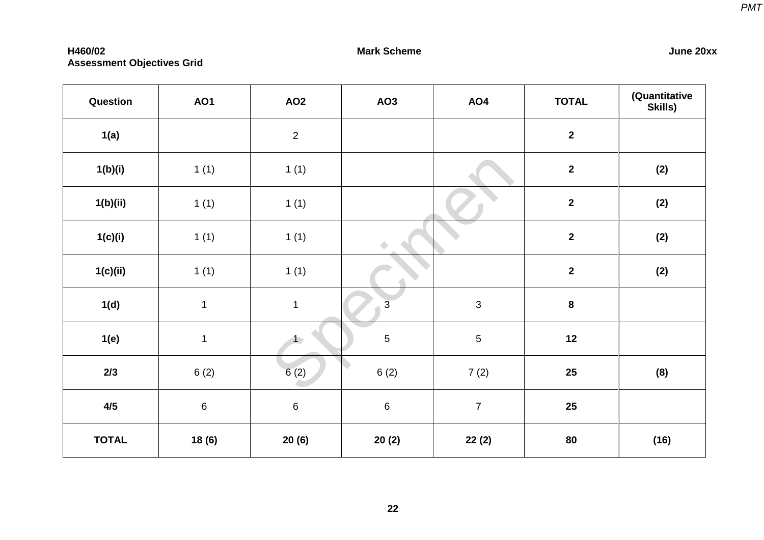# **H460/02Assessment Objectives Grid**

**Mark Scheme June 20xx** 

| Question     | <b>AO1</b>  | AO <sub>2</sub>       | AO <sub>3</sub> | <b>AO4</b>       | <b>TOTAL</b>     | (Quantitative<br>Skills) |
|--------------|-------------|-----------------------|-----------------|------------------|------------------|--------------------------|
| 1(a)         |             | $\overline{c}$        |                 |                  | $\mathbf{2}$     |                          |
| 1(b)(i)      | 1(1)        | 1(1)                  |                 |                  | $\mathbf{2}$     | (2)                      |
| 1(b)(ii)     | 1(1)        | 1(1)                  |                 |                  | $\mathbf{2}$     | (2)                      |
| 1(c)(i)      | 1(1)        | 1(1)                  | ۸               |                  | $\mathbf{2}$     | (2)                      |
| 1(c)(ii)     | 1(1)        | 1(1)                  |                 |                  | $\mathbf{2}$     | (2)                      |
| 1(d)         | $\mathbf 1$ | $\mathbf{1}$          | $\overline{3}$  | $\mathfrak{S}$   | $\bf 8$          |                          |
| 1(e)         | $\mathbf 1$ | $\blacktriangleright$ | $\sqrt{5}$      | $\sqrt{5}$       | 12               |                          |
| 2/3          | 6(2)        | 6(2)                  | 6(2)            | 7(2)             | $25\phantom{.0}$ | (8)                      |
| 4/5          | $\,6$       | $\,6\,$               | $\,6\,$         | $\boldsymbol{7}$ | 25               |                          |
| <b>TOTAL</b> | 18(6)       | 20(6)                 | 20(2)           | 22(2)            | 80               | (16)                     |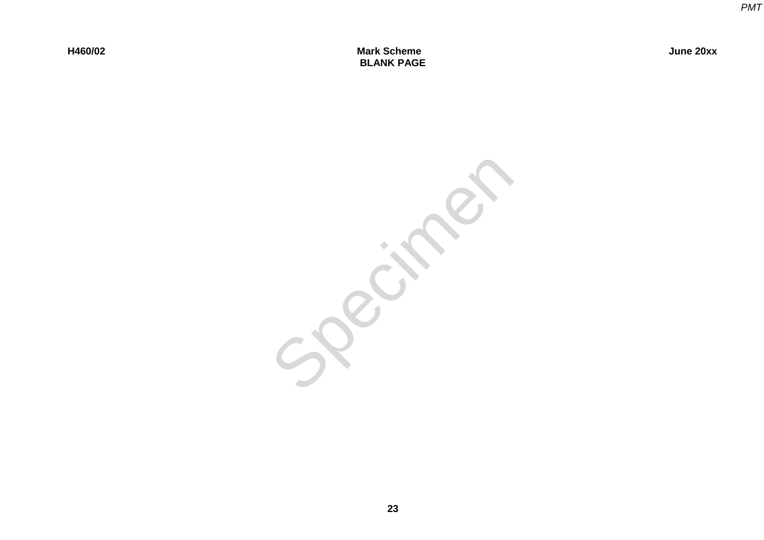Specimen